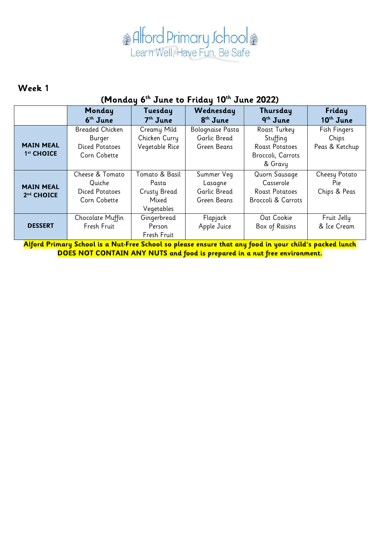#### **Week 1**

#### **(Monday 6 th June to Friday 10th June 2022)**

|                                            | Monday<br>6 <sup>th</sup> June                                     | Tuesday<br>$7th$ June                                          | Wednesday<br>8 <sup>th</sup> June                    | Thursday<br>9 <sup>th</sup> June                                                  | Friday<br>$10th$ June                   |
|--------------------------------------------|--------------------------------------------------------------------|----------------------------------------------------------------|------------------------------------------------------|-----------------------------------------------------------------------------------|-----------------------------------------|
| <b>MAIN MEAL</b><br>1st CHOICE             | Breaded Chicken<br>Burger<br><b>Diced Potatoes</b><br>Corn Cobette | Creamy Mild<br>Chicken Curry<br>Vegetable Rice                 | Bolognaise Pasta<br>Garlic Bread<br>Green Beans      | Roast Turkey<br>Stuffing<br><b>Roast Potatoes</b><br>Broccoli, Carrots<br>& Gravy | Fish Fingers<br>Chips<br>Peas & Ketchup |
| <b>MAIN MEAL</b><br>2 <sup>nd</sup> CHOICE | Cheese & Tomato<br>Quiche<br><b>Diced Potatoes</b><br>Corn Cobette | Tomato & Basil<br>Pasta<br>Crusty Bread<br>Mixed<br>Vegetables | Summer Veg<br>Lasagne<br>Garlic Bread<br>Green Beans | Quorn Sausage<br>Casserole<br><b>Roast Potatoes</b><br>Broccoli & Carrots         | Cheesy Potato<br>Pie<br>Chips & Peas    |
| <b>DESSERT</b>                             | Chocolate Muffin<br>Fresh Fruit                                    | Gingerbread<br>Person<br>Fresh Fruit                           | Flapjack<br>Apple Juice                              | Oat Cookie<br>Box of Raisins                                                      | Fruit Jelly<br>& Ice Cream              |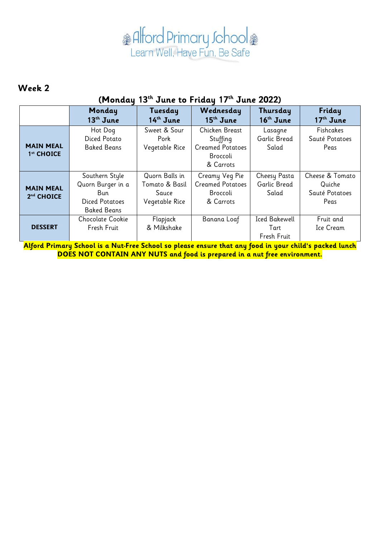#### **Week 2**

### **(Monday 13th June to Friday 17th June 2022)**

|                                            | Monday<br>$13th$ June                                                                      | Tuesday<br>14 <sup>th</sup> June                            | Wednesday<br>$15th$ June                                                       | Thursday<br>$16th$ June                     | Friday<br>17 <sup>th</sup> June                     |
|--------------------------------------------|--------------------------------------------------------------------------------------------|-------------------------------------------------------------|--------------------------------------------------------------------------------|---------------------------------------------|-----------------------------------------------------|
| <b>MAIN MEAL</b><br>1st CHOICE             | Hot Dog<br>Diced Potato<br><b>Baked Beans</b>                                              | Sweet & Sour<br>Pork<br>Vegetable Rice                      | Chicken Breast<br>Stuffing<br><b>Creamed Potatoes</b><br>Broccoli<br>& Carrots | Lasagne<br>Garlic Bread<br>Salad            | <b>Fishcakes</b><br>Sauté Potatoes<br>Peas          |
| <b>MAIN MEAL</b><br>2 <sup>nd</sup> CHOICE | Southern Style<br>Quorn Burger in a<br>Bun.<br><b>Diced Potatoes</b><br><b>Baked Beans</b> | Quorn Balls in<br>Tomato & Basil<br>Sauce<br>Vegetable Rice | Creamy Veg Pie<br><b>Creamed Potatoes</b><br>Broccoli<br>& Carrots             | Cheesy Pasta<br>Garlic Bread<br>Salad       | Cheese & Tomato<br>Quiche<br>Sauté Potatoes<br>Peas |
| <b>DESSERT</b>                             | Chocolate Cookie<br>Fresh Fruit                                                            | Flapjack<br>& Milkshake                                     | Banana Loaf                                                                    | <b>Iced Bakewell</b><br>Tart<br>Fresh Fruit | Fruit and<br>Ice Cream                              |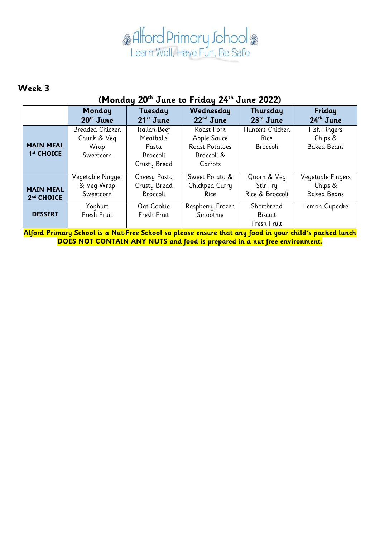#### **Week 3**

### **(Monday 20th June to Friday 24th June 2022)**

|                                            | Monday<br>$20th$ June                               | Tuesday<br>$21^{st}$ June                                             | Wednesday<br>$22nd$ June                                                           | Thursday<br>$23rd$ June                     | Friday<br>$24th$ June                              |
|--------------------------------------------|-----------------------------------------------------|-----------------------------------------------------------------------|------------------------------------------------------------------------------------|---------------------------------------------|----------------------------------------------------|
| <b>MAIN MEAL</b><br>1 <sup>st</sup> CHOICE | Breaded Chicken<br>Chunk & Veg<br>Wrap<br>Sweetcorn | Italian Beef<br>Meatballs<br>Pasta<br>Broccoli<br><b>Crusty Bread</b> | <b>Roast Pork</b><br>Apple Sauce<br><b>Roast Potatoes</b><br>Broccoli &<br>Carrots | Hunters Chicken<br>Rice<br>Broccoli         | Fish Fingers<br>Chips &<br><b>Baked Beans</b>      |
| <b>MAIN MEAL</b><br>2nd CHOICE             | Vegetable Nugget<br>& Veg Wrap<br>Sweetcorn         | Cheesy Pasta<br>Crusty Bread<br>Broccoli                              | Sweet Potato &<br>Chickpea Curry<br>Rice                                           | Quorn & Veg<br>Stir Fry<br>Rice & Broccoli  | Vegetable Fingers<br>Chips &<br><b>Baked Beans</b> |
| <b>DESSERT</b>                             | Yoghurt<br>Fresh Fruit                              | Oat Cookie<br>Fresh Fruit                                             | Raspberry Frozen<br>Smoothie                                                       | Shortbread<br><b>Biscuit</b><br>Fresh Fruit | Lemon Cupcake                                      |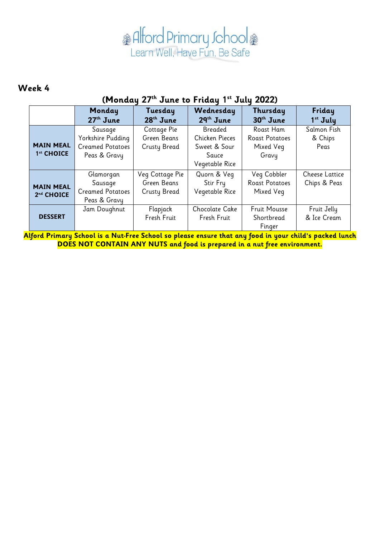#### **Week 4**

#### **(Monday 27th June to Friday 1 st July 2022)**

|                                | Monday<br>27 <sup>th</sup> June                                         | Tuesday<br>$28th$ June                                | Wednesday<br>$29th$ June                                                    | Thursday<br>30 <sup>th</sup> June                        | Friday<br>1 <sup>st</sup> July        |
|--------------------------------|-------------------------------------------------------------------------|-------------------------------------------------------|-----------------------------------------------------------------------------|----------------------------------------------------------|---------------------------------------|
| <b>MAIN MEAL</b><br>1st CHOICE | Sausage<br>Yorkshire Pudding<br><b>Creamed Potatoes</b><br>Peas & Gravy | Cottage Pie<br>Green Beans<br><b>Crusty Bread</b>     | Breaded<br><b>Chicken Pieces</b><br>Sweet & Sour<br>Sauce<br>Vegetable Rice | Roast Ham<br><b>Roast Potatoes</b><br>Mixed Veg<br>Gravy | Salmon Fish<br>& Chips<br>Peas        |
| <b>MAIN MEAL</b><br>2nd CHOICE | Glamorgan<br>Sausage<br><b>Creamed Potatoes</b><br>Peas & Gravy         | Veg Cottage Pie<br>Green Beans<br><b>Crusty Bread</b> | Quorn & Veg<br>Stir Fry<br>Vegetable Rice                                   | Veg Cobbler<br><b>Roast Potatoes</b><br>Mixed Veg        | <b>Cheese Lattice</b><br>Chips & Peas |
| <b>DESSERT</b>                 | Jam Doughnut                                                            | Flapjack<br>Fresh Fruit                               | Chocolate Cake<br>Fresh Fruit                                               | <b>Fruit Mousse</b><br>Shortbread<br>Finger              | Fruit Jelly<br>& Ice Cream            |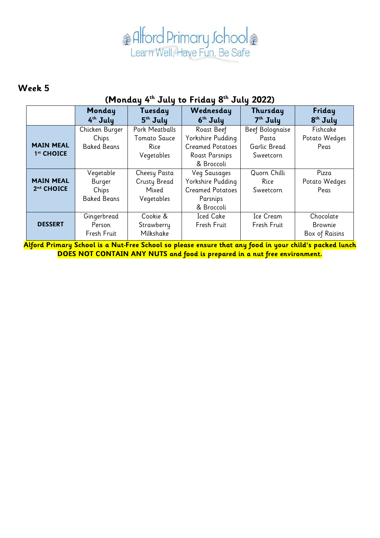#### **Week 5**

### **(Monday 4 th July to Friday 8 th July 2022)**

|                                            | Monday<br>$4th$ July                               | Tuesday<br>$5th$ July                                       | Wednesday<br>$6th$ July                                                                           | Thursday<br>$7th$ July                                | Friday<br>8 <sup>th</sup> July         |
|--------------------------------------------|----------------------------------------------------|-------------------------------------------------------------|---------------------------------------------------------------------------------------------------|-------------------------------------------------------|----------------------------------------|
| <b>MAIN MEAL</b><br>1st CHOICE             | Chicken Burger<br>Chips<br><b>Baked Beans</b>      | Pork Meatballs<br><b>Tomato Sauce</b><br>Rice<br>Vegetables | Roast Beef<br>Yorkshire Pudding<br><b>Creamed Potatoes</b><br><b>Roast Parsnips</b><br>& Broccoli | Beef Bolognaise<br>Pasta<br>Garlic Bread<br>Sweetcorn | Fishcake<br>Potato Wedges<br>Peas      |
| <b>MAIN MEAL</b><br>2 <sup>nd</sup> CHOICE | Vegetable<br>Burger<br>Chips<br><b>Baked Beans</b> | Cheesy Pasta<br>Crusty Bread<br>Mixed<br>Vegetables         | <b>Veg Sausages</b><br>Yorkshire Pudding<br><b>Creamed Potatoes</b><br>Parsnips<br>& Broccoli     | Quorn Chilli<br>Rice<br>Sweetcorn                     | Pizza<br>Potato Wedges<br>Peas         |
| <b>DESSERT</b>                             | Gingerbread<br>Person<br>Fresh Fruit               | Cookie &<br>Strawberry<br>Milkshake                         | <b>Iced Cake</b><br>Fresh Fruit                                                                   | Ice Cream<br>Fresh Fruit                              | Chocolate<br>Brownie<br>Box of Raisins |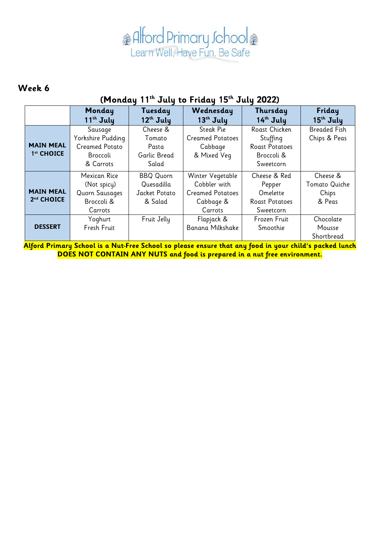#### **Week 6**

### **(Monday 11th July to Friday 15th July 2022)**

|                                                                                                        | Monday<br>$11th$ July                                                          | Tuesday<br>$12th$ July                                     | Wednesday<br>13th July                                                              | Thursday<br>14 <sup>th</sup> July                                             | Friday<br>$15th$ July                        |  |
|--------------------------------------------------------------------------------------------------------|--------------------------------------------------------------------------------|------------------------------------------------------------|-------------------------------------------------------------------------------------|-------------------------------------------------------------------------------|----------------------------------------------|--|
| <b>MAIN MEAL</b><br>1st CHOICE                                                                         | Sausage<br>Yorkshire Pudding<br><b>Creamed Potato</b><br>Broccoli<br>& Carrots | Cheese &<br>Tomato<br>Pasta<br>Garlic Bread<br>Salad       | Steak Pie<br><b>Creamed Potatoes</b><br>Cabbage<br>& Mixed Veg                      | Roast Chicken<br>Stuffing<br><b>Roast Potatoes</b><br>Broccoli &<br>Sweetcorn | <b>Breaded Fish</b><br>Chips & Peas          |  |
| <b>MAIN MEAL</b><br>2 <sup>nd</sup> CHOICE                                                             | Mexican Rice<br>(Not spicy)<br><b>Quorn Sausages</b><br>Broccoli &<br>Carrots  | <b>BBQ Quorn</b><br>Quesadilla<br>Jacket Potato<br>& Salad | Winter Vegetable<br>Cobbler with<br><b>Creamed Potatoes</b><br>Cabbage &<br>Carrots | Cheese & Red<br>Pepper<br>Omelette<br><b>Roast Potatoes</b><br>Sweetcorn      | Cheese &<br>Tomato Quiche<br>Chips<br>& Peas |  |
| <b>DESSERT</b>                                                                                         | Yoghurt<br>Fresh Fruit                                                         | Fruit Jelly                                                | Flapjack &<br>Banana Milkshake                                                      | Frozen Fruit<br>Smoothie                                                      | Chocolate<br>Mousse<br>Shortbread            |  |
| Alford Primary School is a Nut-Free School so please ensure that any food in your child's packed lunch |                                                                                |                                                            |                                                                                     |                                                                               |                                              |  |

**DOES NOT CONTAIN ANY NUTS and food is prepared in a nut free environment.**